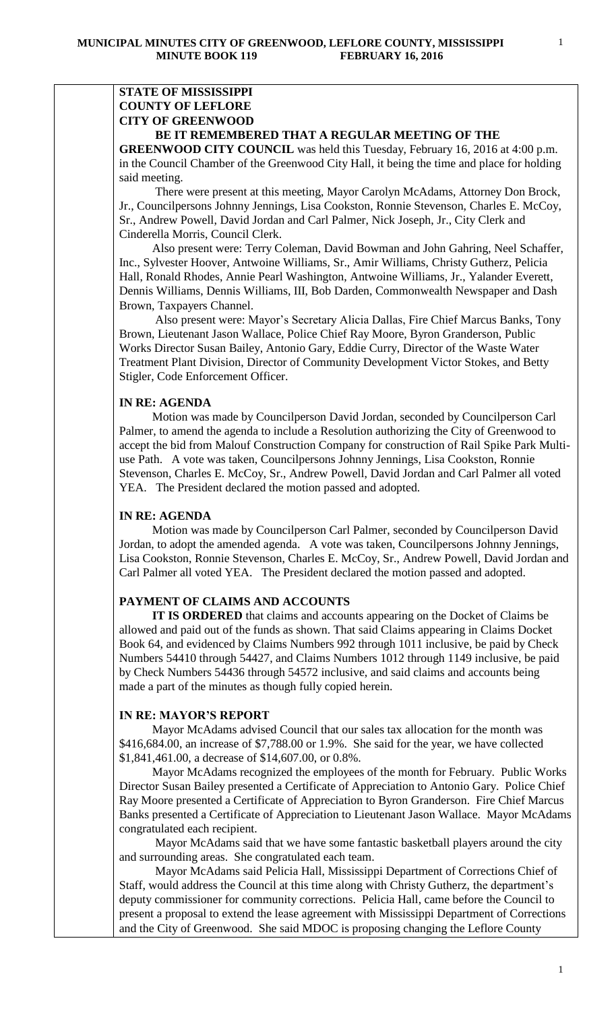# **STATE OF MISSISSIPPI COUNTY OF LEFLORE CITY OF GREENWOOD**

# **BE IT REMEMBERED THAT A REGULAR MEETING OF THE**

**GREENWOOD CITY COUNCIL** was held this Tuesday, February 16, 2016 at 4:00 p.m. in the Council Chamber of the Greenwood City Hall, it being the time and place for holding said meeting.

There were present at this meeting, Mayor Carolyn McAdams, Attorney Don Brock, Jr., Councilpersons Johnny Jennings, Lisa Cookston, Ronnie Stevenson, Charles E. McCoy, Sr., Andrew Powell, David Jordan and Carl Palmer, Nick Joseph, Jr., City Clerk and Cinderella Morris, Council Clerk.

 Also present were: Terry Coleman, David Bowman and John Gahring, Neel Schaffer, Inc., Sylvester Hoover, Antwoine Williams, Sr., Amir Williams, Christy Gutherz, Pelicia Hall, Ronald Rhodes, Annie Pearl Washington, Antwoine Williams, Jr., Yalander Everett, Dennis Williams, Dennis Williams, III, Bob Darden, Commonwealth Newspaper and Dash Brown, Taxpayers Channel.

 Also present were: Mayor's Secretary Alicia Dallas, Fire Chief Marcus Banks, Tony Brown, Lieutenant Jason Wallace, Police Chief Ray Moore, Byron Granderson, Public Works Director Susan Bailey, Antonio Gary, Eddie Curry, Director of the Waste Water Treatment Plant Division, Director of Community Development Victor Stokes, and Betty Stigler, Code Enforcement Officer.

## **IN RE: AGENDA**

 Motion was made by Councilperson David Jordan, seconded by Councilperson Carl Palmer, to amend the agenda to include a Resolution authorizing the City of Greenwood to accept the bid from Malouf Construction Company for construction of Rail Spike Park Multiuse Path. A vote was taken, Councilpersons Johnny Jennings, Lisa Cookston, Ronnie Stevenson, Charles E. McCoy, Sr., Andrew Powell, David Jordan and Carl Palmer all voted YEA. The President declared the motion passed and adopted.

## **IN RE: AGENDA**

 Motion was made by Councilperson Carl Palmer, seconded by Councilperson David Jordan, to adopt the amended agenda. A vote was taken, Councilpersons Johnny Jennings, Lisa Cookston, Ronnie Stevenson, Charles E. McCoy, Sr., Andrew Powell, David Jordan and Carl Palmer all voted YEA. The President declared the motion passed and adopted.

# **PAYMENT OF CLAIMS AND ACCOUNTS**

 **IT IS ORDERED** that claims and accounts appearing on the Docket of Claims be allowed and paid out of the funds as shown. That said Claims appearing in Claims Docket Book 64, and evidenced by Claims Numbers 992 through 1011 inclusive, be paid by Check Numbers 54410 through 54427, and Claims Numbers 1012 through 1149 inclusive, be paid by Check Numbers 54436 through 54572 inclusive, and said claims and accounts being made a part of the minutes as though fully copied herein.

## **IN RE: MAYOR'S REPORT**

 Mayor McAdams advised Council that our sales tax allocation for the month was \$416,684.00, an increase of \$7,788.00 or 1.9%. She said for the year, we have collected \$1,841,461.00, a decrease of \$14,607.00, or 0.8%.

 Mayor McAdams recognized the employees of the month for February. Public Works Director Susan Bailey presented a Certificate of Appreciation to Antonio Gary. Police Chief Ray Moore presented a Certificate of Appreciation to Byron Granderson. Fire Chief Marcus Banks presented a Certificate of Appreciation to Lieutenant Jason Wallace. Mayor McAdams congratulated each recipient.

 Mayor McAdams said that we have some fantastic basketball players around the city and surrounding areas. She congratulated each team.

 Mayor McAdams said Pelicia Hall, Mississippi Department of Corrections Chief of Staff, would address the Council at this time along with Christy Gutherz, the department's deputy commissioner for community corrections. Pelicia Hall, came before the Council to present a proposal to extend the lease agreement with Mississippi Department of Corrections and the City of Greenwood. She said MDOC is proposing changing the Leflore County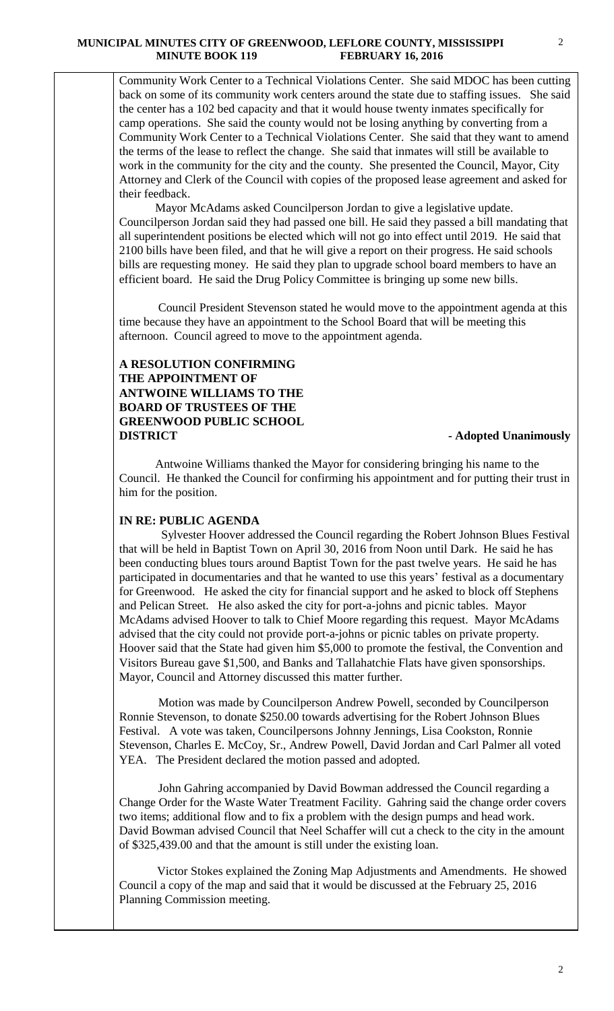### **MUNICIPAL MINUTES CITY OF GREENWOOD, LEFLORE COUNTY, MISSISSIPPI MINUTE BOOK 119 FEBRUARY 16, 2016**

Community Work Center to a Technical Violations Center. She said MDOC has been cutting back on some of its community work centers around the state due to staffing issues. She said the center has a 102 bed capacity and that it would house twenty inmates specifically for camp operations. She said the county would not be losing anything by converting from a Community Work Center to a Technical Violations Center. She said that they want to amend the terms of the lease to reflect the change. She said that inmates will still be available to work in the community for the city and the county. She presented the Council, Mayor, City Attorney and Clerk of the Council with copies of the proposed lease agreement and asked for their feedback.

 Mayor McAdams asked Councilperson Jordan to give a legislative update. Councilperson Jordan said they had passed one bill. He said they passed a bill mandating that all superintendent positions be elected which will not go into effect until 2019. He said that 2100 bills have been filed, and that he will give a report on their progress. He said schools bills are requesting money. He said they plan to upgrade school board members to have an efficient board. He said the Drug Policy Committee is bringing up some new bills.

 Council President Stevenson stated he would move to the appointment agenda at this time because they have an appointment to the School Board that will be meeting this afternoon. Council agreed to move to the appointment agenda.

# **A RESOLUTION CONFIRMING THE APPOINTMENT OF ANTWOINE WILLIAMS TO THE BOARD OF TRUSTEES OF THE GREENWOOD PUBLIC SCHOOL DISTRICT** - **Adopted Unanimously**

Antwoine Williams thanked the Mayor for considering bringing his name to the Council. He thanked the Council for confirming his appointment and for putting their trust in him for the position.

# **IN RE: PUBLIC AGENDA**

 Sylvester Hoover addressed the Council regarding the Robert Johnson Blues Festival that will be held in Baptist Town on April 30, 2016 from Noon until Dark. He said he has been conducting blues tours around Baptist Town for the past twelve years. He said he has participated in documentaries and that he wanted to use this years' festival as a documentary for Greenwood. He asked the city for financial support and he asked to block off Stephens and Pelican Street. He also asked the city for port-a-johns and picnic tables. Mayor McAdams advised Hoover to talk to Chief Moore regarding this request. Mayor McAdams advised that the city could not provide port-a-johns or picnic tables on private property. Hoover said that the State had given him \$5,000 to promote the festival, the Convention and Visitors Bureau gave \$1,500, and Banks and Tallahatchie Flats have given sponsorships. Mayor, Council and Attorney discussed this matter further.

 Motion was made by Councilperson Andrew Powell, seconded by Councilperson Ronnie Stevenson, to donate \$250.00 towards advertising for the Robert Johnson Blues Festival. A vote was taken, Councilpersons Johnny Jennings, Lisa Cookston, Ronnie Stevenson, Charles E. McCoy, Sr., Andrew Powell, David Jordan and Carl Palmer all voted YEA. The President declared the motion passed and adopted.

 John Gahring accompanied by David Bowman addressed the Council regarding a Change Order for the Waste Water Treatment Facility. Gahring said the change order covers two items; additional flow and to fix a problem with the design pumps and head work. David Bowman advised Council that Neel Schaffer will cut a check to the city in the amount of \$325,439.00 and that the amount is still under the existing loan.

 Victor Stokes explained the Zoning Map Adjustments and Amendments. He showed Council a copy of the map and said that it would be discussed at the February 25, 2016 Planning Commission meeting.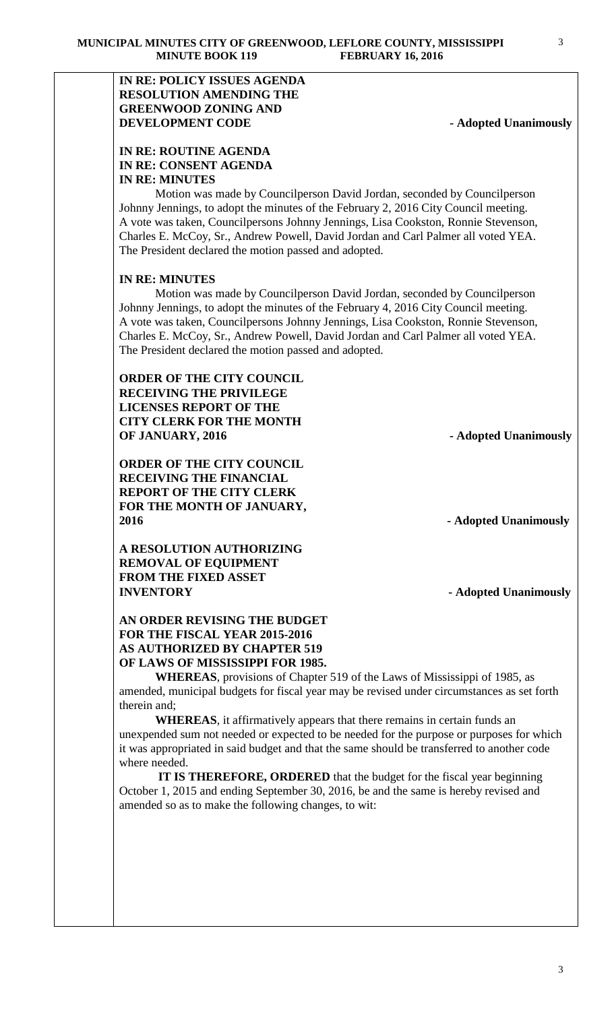# **IN RE: POLICY ISSUES AGENDA RESOLUTION AMENDING THE GREENWOOD ZONING AND DEVELOPMENT CODE** - **Adopted Unanimously**

3

# **IN RE: ROUTINE AGENDA IN RE: CONSENT AGENDA IN RE: MINUTES**

 Motion was made by Councilperson David Jordan, seconded by Councilperson Johnny Jennings, to adopt the minutes of the February 2, 2016 City Council meeting. A vote was taken, Councilpersons Johnny Jennings, Lisa Cookston, Ronnie Stevenson, Charles E. McCoy, Sr., Andrew Powell, David Jordan and Carl Palmer all voted YEA. The President declared the motion passed and adopted.

# **IN RE: MINUTES**

 Motion was made by Councilperson David Jordan, seconded by Councilperson Johnny Jennings, to adopt the minutes of the February 4, 2016 City Council meeting. A vote was taken, Councilpersons Johnny Jennings, Lisa Cookston, Ronnie Stevenson, Charles E. McCoy, Sr., Andrew Powell, David Jordan and Carl Palmer all voted YEA. The President declared the motion passed and adopted.

# **ORDER OF THE CITY COUNCIL RECEIVING THE PRIVILEGE LICENSES REPORT OF THE CITY CLERK FOR THE MONTH OF JANUARY, 2016** - **Adopted Unanimously**

**ORDER OF THE CITY COUNCIL RECEIVING THE FINANCIAL REPORT OF THE CITY CLERK FOR THE MONTH OF JANUARY, 2016 - Adopted Unanimously**

**A RESOLUTION AUTHORIZING REMOVAL OF EQUIPMENT FROM THE FIXED ASSET INVENTORY - Adopted Unanimously**

# **AN ORDER REVISING THE BUDGET FOR THE FISCAL YEAR 2015-2016 AS AUTHORIZED BY CHAPTER 519 OF LAWS OF MISSISSIPPI FOR 1985.**

**WHEREAS**, provisions of Chapter 519 of the Laws of Mississippi of 1985, as amended, municipal budgets for fiscal year may be revised under circumstances as set forth therein and;

**WHEREAS**, it affirmatively appears that there remains in certain funds an unexpended sum not needed or expected to be needed for the purpose or purposes for which it was appropriated in said budget and that the same should be transferred to another code where needed.

 **IT IS THEREFORE, ORDERED** that the budget for the fiscal year beginning October 1, 2015 and ending September 30, 2016, be and the same is hereby revised and amended so as to make the following changes, to wit: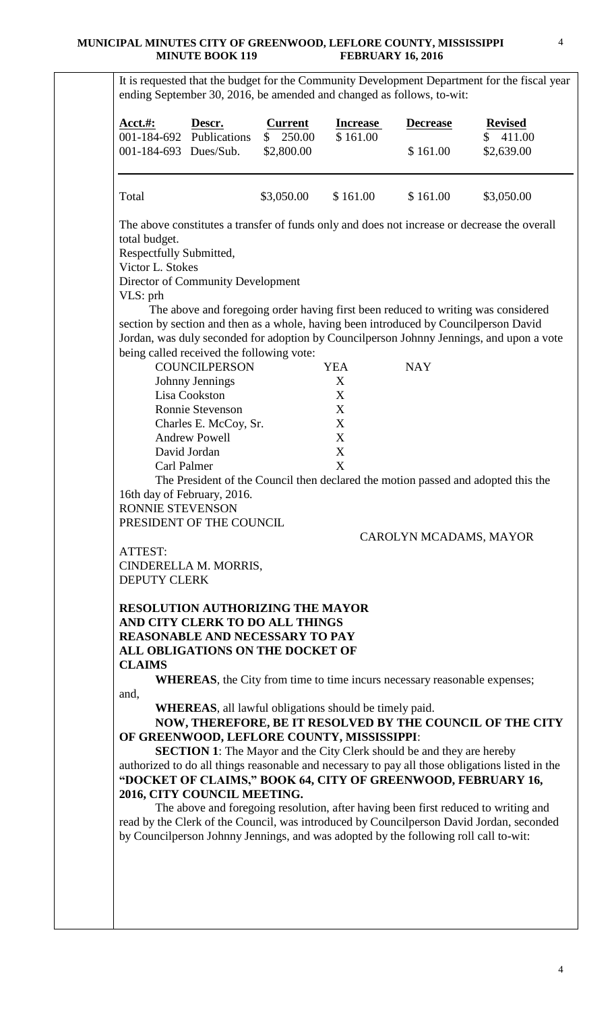## **MUNICIPAL MINUTES CITY OF GREENWOOD, LEFLORE COUNTY, MISSISSIPPI MINUTE BOOK 119 FEBRUARY 16, 2016**

|                                             | Descr.<br>001-184-692 Publications                                                 | <b>Current</b><br>250.00<br>$\mathbb{S}$ | <b>Increase</b><br>\$161.00 | <b>Decrease</b>                                                                                                                                                                 | <b>Revised</b><br>411.00<br>\$ |
|---------------------------------------------|------------------------------------------------------------------------------------|------------------------------------------|-----------------------------|---------------------------------------------------------------------------------------------------------------------------------------------------------------------------------|--------------------------------|
| 001-184-693 Dues/Sub.                       |                                                                                    | \$2,800.00                               |                             | \$161.00                                                                                                                                                                        | \$2,639.00                     |
| Total                                       |                                                                                    | \$3,050.00                               | \$161.00                    | \$161.00                                                                                                                                                                        | \$3,050.00                     |
|                                             |                                                                                    |                                          |                             | The above constitutes a transfer of funds only and does not increase or decrease the overall                                                                                    |                                |
| total budget.                               |                                                                                    |                                          |                             |                                                                                                                                                                                 |                                |
| Respectfully Submitted,<br>Victor L. Stokes |                                                                                    |                                          |                             |                                                                                                                                                                                 |                                |
|                                             | Director of Community Development                                                  |                                          |                             |                                                                                                                                                                                 |                                |
| VLS: prh                                    |                                                                                    |                                          |                             |                                                                                                                                                                                 |                                |
|                                             |                                                                                    |                                          |                             | The above and foregoing order having first been reduced to writing was considered                                                                                               |                                |
|                                             |                                                                                    |                                          |                             | section by section and then as a whole, having been introduced by Councilperson David                                                                                           |                                |
|                                             |                                                                                    |                                          |                             | Jordan, was duly seconded for adoption by Councilperson Johnny Jennings, and upon a vote                                                                                        |                                |
|                                             | being called received the following vote:<br><b>COUNCILPERSON</b>                  |                                          | <b>YEA</b>                  | <b>NAY</b>                                                                                                                                                                      |                                |
|                                             | <b>Johnny Jennings</b>                                                             |                                          | X                           |                                                                                                                                                                                 |                                |
|                                             | Lisa Cookston                                                                      |                                          | X                           |                                                                                                                                                                                 |                                |
|                                             | Ronnie Stevenson                                                                   |                                          | $\boldsymbol{\mathrm{X}}$   |                                                                                                                                                                                 |                                |
|                                             | Charles E. McCoy, Sr.                                                              |                                          | $\boldsymbol{X}$            |                                                                                                                                                                                 |                                |
|                                             | <b>Andrew Powell</b>                                                               |                                          | $\mathbf X$                 |                                                                                                                                                                                 |                                |
|                                             | David Jordan                                                                       |                                          | $\boldsymbol{\mathrm{X}}$   |                                                                                                                                                                                 |                                |
| Carl Palmer                                 |                                                                                    |                                          | X                           |                                                                                                                                                                                 |                                |
|                                             |                                                                                    |                                          |                             | The President of the Council then declared the motion passed and adopted this the                                                                                               |                                |
| RONNIE STEVENSON                            | 16th day of February, 2016.                                                        |                                          |                             |                                                                                                                                                                                 |                                |
|                                             | PRESIDENT OF THE COUNCIL                                                           |                                          |                             |                                                                                                                                                                                 |                                |
|                                             |                                                                                    |                                          |                             | CAROLYN MCADAMS, MAYOR                                                                                                                                                          |                                |
| ATTEST:                                     |                                                                                    |                                          |                             |                                                                                                                                                                                 |                                |
|                                             | CINDERELLA M. MORRIS,                                                              |                                          |                             |                                                                                                                                                                                 |                                |
| <b>DEPUTY CLERK</b>                         |                                                                                    |                                          |                             |                                                                                                                                                                                 |                                |
|                                             |                                                                                    |                                          |                             |                                                                                                                                                                                 |                                |
|                                             | <b>RESOLUTION AUTHORIZING THE MAYOR</b><br>AND CITY CLERK TO DO ALL THINGS         |                                          |                             |                                                                                                                                                                                 |                                |
|                                             | <b>REASONABLE AND NECESSARY TO PAY</b>                                             |                                          |                             |                                                                                                                                                                                 |                                |
|                                             | ALL OBLIGATIONS ON THE DOCKET OF                                                   |                                          |                             |                                                                                                                                                                                 |                                |
| <b>CLAIMS</b>                               |                                                                                    |                                          |                             |                                                                                                                                                                                 |                                |
|                                             |                                                                                    |                                          |                             | WHEREAS, the City from time to time incurs necessary reasonable expenses;                                                                                                       |                                |
| and,                                        |                                                                                    |                                          |                             |                                                                                                                                                                                 |                                |
|                                             | <b>WHEREAS</b> , all lawful obligations should be timely paid.                     |                                          |                             |                                                                                                                                                                                 |                                |
|                                             |                                                                                    |                                          |                             | NOW, THEREFORE, BE IT RESOLVED BY THE COUNCIL OF THE CITY                                                                                                                       |                                |
|                                             | OF GREENWOOD, LEFLORE COUNTY, MISSISSIPPI:                                         |                                          |                             |                                                                                                                                                                                 |                                |
|                                             |                                                                                    |                                          |                             | <b>SECTION 1:</b> The Mayor and the City Clerk should be and they are hereby<br>authorized to do all things reasonable and necessary to pay all those obligations listed in the |                                |
|                                             |                                                                                    |                                          |                             | "DOCKET OF CLAIMS," BOOK 64, CITY OF GREENWOOD, FEBRUARY 16,                                                                                                                    |                                |
|                                             |                                                                                    |                                          |                             |                                                                                                                                                                                 |                                |
|                                             |                                                                                    |                                          |                             |                                                                                                                                                                                 |                                |
|                                             |                                                                                    |                                          |                             |                                                                                                                                                                                 |                                |
| 2016, CITY COUNCIL MEETING.                 | The above and foregoing resolution, after having been first reduced to writing and |                                          |                             | read by the Clerk of the Council, was introduced by Councilperson David Jordan, seconded                                                                                        |                                |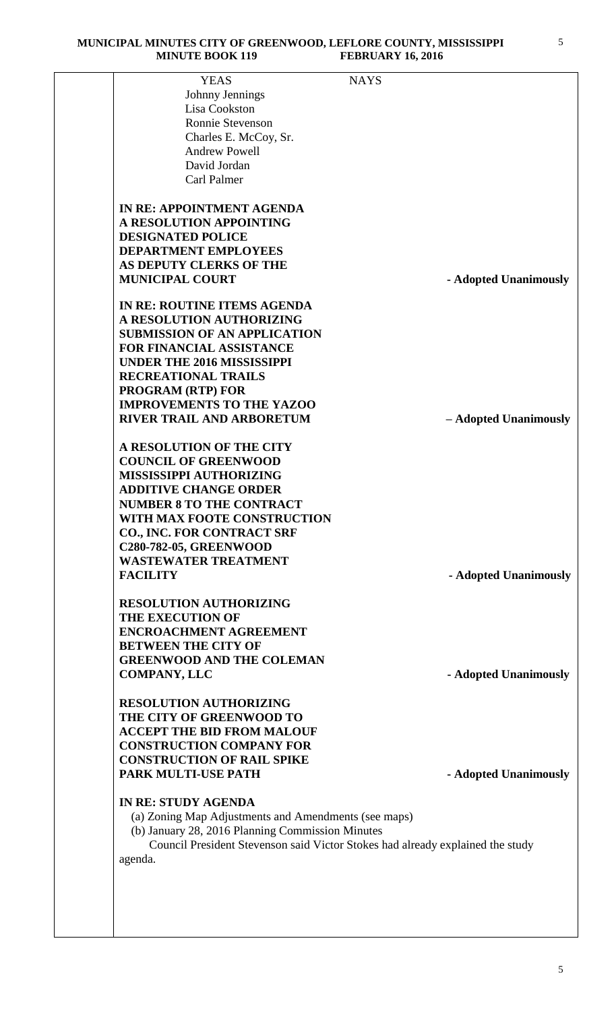| <b>YEAS</b>                                          | <b>NAYS</b>                                                                    |
|------------------------------------------------------|--------------------------------------------------------------------------------|
| Johnny Jennings                                      |                                                                                |
| Lisa Cookston                                        |                                                                                |
| <b>Ronnie Stevenson</b>                              |                                                                                |
|                                                      |                                                                                |
| Charles E. McCoy, Sr.<br><b>Andrew Powell</b>        |                                                                                |
|                                                      |                                                                                |
| David Jordan<br>Carl Palmer                          |                                                                                |
|                                                      |                                                                                |
| <b>IN RE: APPOINTMENT AGENDA</b>                     |                                                                                |
| A RESOLUTION APPOINTING                              |                                                                                |
| <b>DESIGNATED POLICE</b>                             |                                                                                |
| <b>DEPARTMENT EMPLOYEES</b>                          |                                                                                |
| AS DEPUTY CLERKS OF THE                              |                                                                                |
| <b>MUNICIPAL COURT</b>                               | - Adopted Unanimously                                                          |
| IN RE: ROUTINE ITEMS AGENDA                          |                                                                                |
| A RESOLUTION AUTHORIZING                             |                                                                                |
| <b>SUBMISSION OF AN APPLICATION</b>                  |                                                                                |
| <b>FOR FINANCIAL ASSISTANCE</b>                      |                                                                                |
| <b>UNDER THE 2016 MISSISSIPPI</b>                    |                                                                                |
| <b>RECREATIONAL TRAILS</b>                           |                                                                                |
| <b>PROGRAM (RTP) FOR</b>                             |                                                                                |
| <b>IMPROVEMENTS TO THE YAZOO</b>                     |                                                                                |
| <b>RIVER TRAIL AND ARBORETUM</b>                     | - Adopted Unanimously                                                          |
|                                                      |                                                                                |
| A RESOLUTION OF THE CITY                             |                                                                                |
| <b>COUNCIL OF GREENWOOD</b>                          |                                                                                |
| <b>MISSISSIPPI AUTHORIZING</b>                       |                                                                                |
| <b>ADDITIVE CHANGE ORDER</b>                         |                                                                                |
| <b>NUMBER 8 TO THE CONTRACT</b>                      |                                                                                |
| WITH MAX FOOTE CONSTRUCTION                          |                                                                                |
| <b>CO., INC. FOR CONTRACT SRF</b>                    |                                                                                |
| <b>C280-782-05, GREENWOOD</b>                        |                                                                                |
| <b>WASTEWATER TREATMENT</b>                          |                                                                                |
| <b>FACILITY</b>                                      | - Adopted Unanimously                                                          |
| <b>RESOLUTION AUTHORIZING</b>                        |                                                                                |
| <b>THE EXECUTION OF</b>                              |                                                                                |
| <b>ENCROACHMENT AGREEMENT</b>                        |                                                                                |
| <b>BETWEEN THE CITY OF</b>                           |                                                                                |
| <b>GREENWOOD AND THE COLEMAN</b>                     |                                                                                |
| <b>COMPANY, LLC</b>                                  | - Adopted Unanimously                                                          |
|                                                      |                                                                                |
| <b>RESOLUTION AUTHORIZING</b>                        |                                                                                |
| THE CITY OF GREENWOOD TO                             |                                                                                |
| <b>ACCEPT THE BID FROM MALOUF</b>                    |                                                                                |
| <b>CONSTRUCTION COMPANY FOR</b>                      |                                                                                |
| <b>CONSTRUCTION OF RAIL SPIKE</b>                    |                                                                                |
| PARK MULTI-USE PATH                                  | - Adopted Unanimously                                                          |
| <b>IN RE: STUDY AGENDA</b>                           |                                                                                |
| (a) Zoning Map Adjustments and Amendments (see maps) |                                                                                |
| (b) January 28, 2016 Planning Commission Minutes     |                                                                                |
|                                                      | Council President Stevenson said Victor Stokes had already explained the study |
| agenda.                                              |                                                                                |
|                                                      |                                                                                |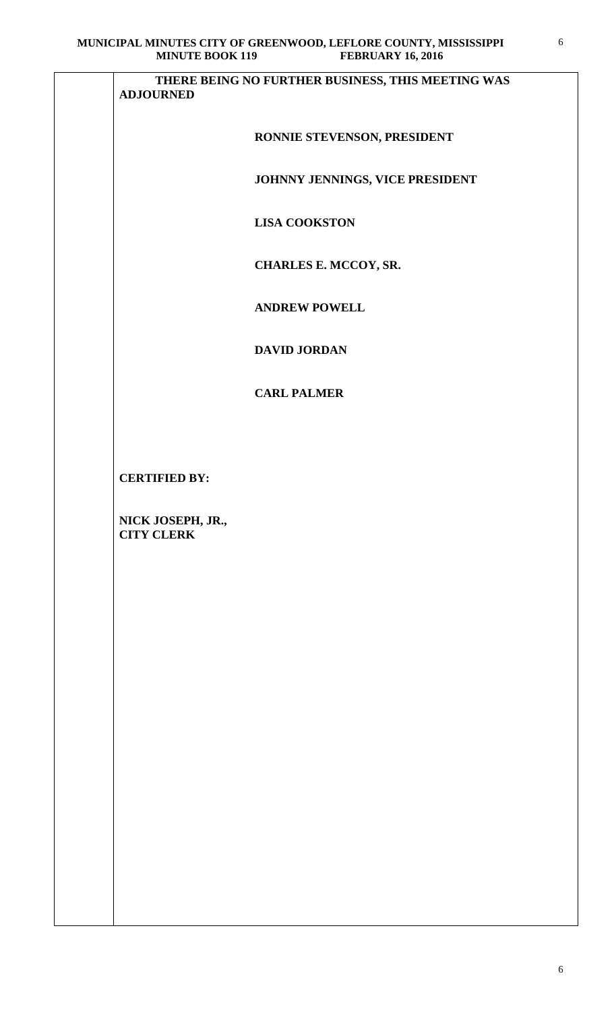| <b>MINUTE BOOK 119</b><br><b>FEBRUARY 16, 2016</b>                    |
|-----------------------------------------------------------------------|
| THERE BEING NO FURTHER BUSINESS, THIS MEETING WAS<br><b>ADJOURNED</b> |
| RONNIE STEVENSON, PRESIDENT                                           |
| JOHNNY JENNINGS, VICE PRESIDENT                                       |
| <b>LISA COOKSTON</b>                                                  |
| CHARLES E. MCCOY, SR.                                                 |
| <b>ANDREW POWELL</b>                                                  |
| <b>DAVID JORDAN</b>                                                   |
| <b>CARL PALMER</b>                                                    |
|                                                                       |
| <b>CERTIFIED BY:</b>                                                  |
| NICK JOSEPH, JR.,<br><b>CITY CLERK</b>                                |
|                                                                       |
|                                                                       |
|                                                                       |
|                                                                       |
|                                                                       |
|                                                                       |
|                                                                       |
|                                                                       |
|                                                                       |